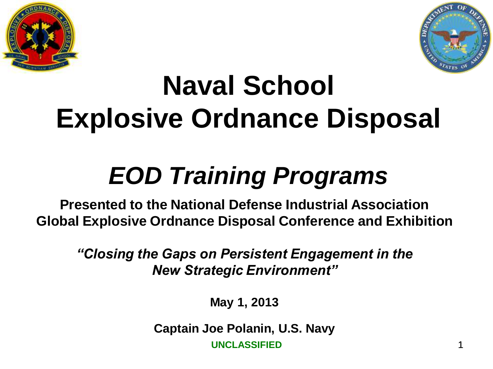



# **Naval School Explosive Ordnance Disposal**

# *EOD Training Programs*

**Presented to the National Defense Industrial Association Global Explosive Ordnance Disposal Conference and Exhibition**

*"Closing the Gaps on Persistent Engagement in the New Strategic Environment"*

**May 1, 2013**

**Captain Joe Polanin, U.S. Navy**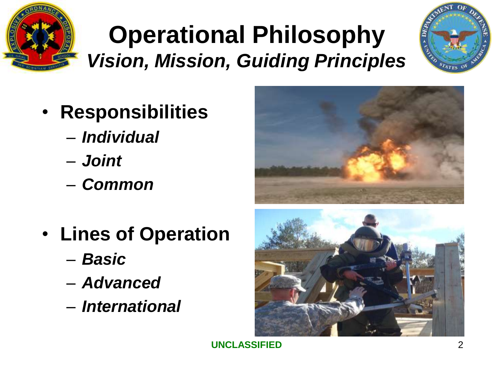

### **Operational Philosophy** *Vision, Mission, Guiding Principles*



- **Responsibilities**
	- *Individual*
	- *Joint*
	- *Common*
- **Lines of Operation**
	- *Basic*
	- *Advanced*
	- *International*



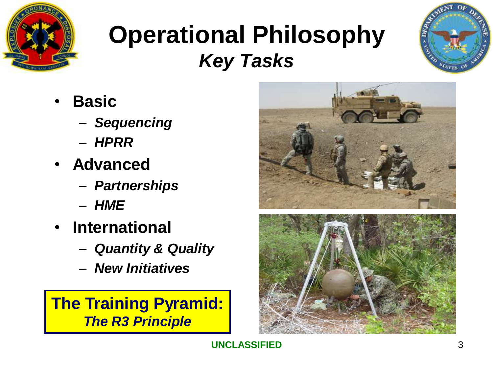

#### **Operational Philosophy** *Key Tasks*



- **Basic**
	- *Sequencing*
	- *HPRR*
- **Advanced**
	- *Partnerships*
	- *HME*
- **International**
	- *Quantity & Quality*
	- *New Initiatives*

**The Training Pyramid:** *The R3 Principle*

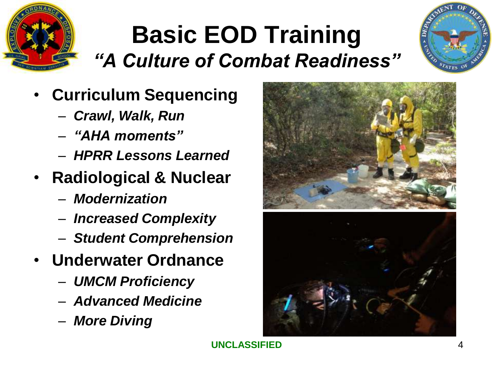

#### **Basic EOD Training** *"A Culture of Combat Readiness"*



- **Curriculum Sequencing**
	- *Crawl, Walk, Run*
	- *"AHA moments"*
	- *HPRR Lessons Learned*
- **Radiological & Nuclear**
	- *Modernization*
	- *Increased Complexity*
	- *Student Comprehension*
- **Underwater Ordnance**
	- *UMCM Proficiency*
	- *Advanced Medicine*
	- *More Diving*



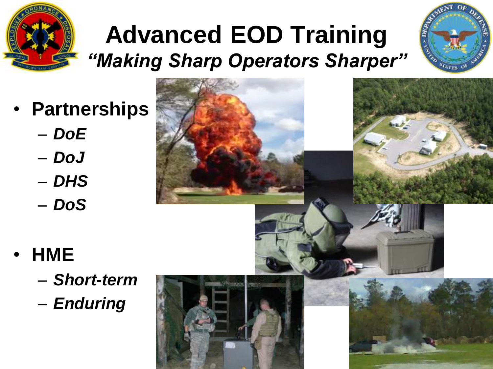

## **Advanced EOD Training** *"Making Sharp Operators Sharper"*



- **Partnerships**
	- *DoE*
	- *DoJ*
	- *DHS*
	- *DoS*





- *Short-term*
- *Enduring*

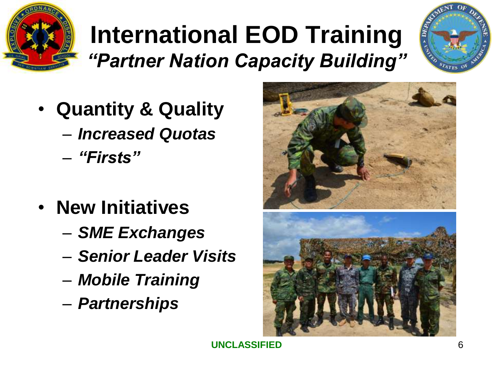

#### **International EOD Training** *"Partner Nation Capacity Building"*



- **Quantity & Quality**
	- *Increased Quotas*
	- *"Firsts"*
- **New Initiatives**
	- *SME Exchanges*
	- *Senior Leader Visits*
	- *Mobile Training*
	- *Partnerships*